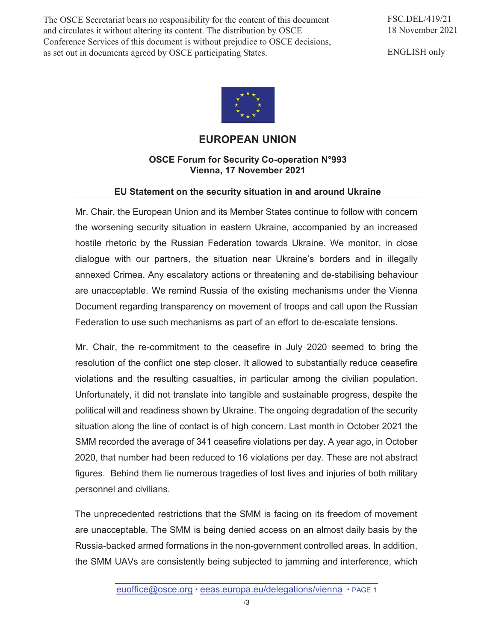The OSCE Secretariat bears no responsibility for the content of this document and circulates it without altering its content. The distribution by OSCE Conference Services of this document is without prejudice to OSCE decisions, as set out in documents agreed by OSCE participating States.

ENGLISH only



## **EUROPEAN UNION**

## **OSCE Forum for Security Co-operation N°993 Vienna, 17 November 2021**

## **EU Statement on the security situation in and around Ukraine**

Mr. Chair, the European Union and its Member States continue to follow with concern the worsening security situation in eastern Ukraine, accompanied by an increased hostile rhetoric by the Russian Federation towards Ukraine. We monitor, in close dialogue with our partners, the situation near Ukraine's borders and in illegally annexed Crimea. Any escalatory actions or threatening and de-stabilising behaviour are unacceptable. We remind Russia of the existing mechanisms under the Vienna Document regarding transparency on movement of troops and call upon the Russian Federation to use such mechanisms as part of an effort to de-escalate tensions.

Mr. Chair, the re-commitment to the ceasefire in July 2020 seemed to bring the resolution of the conflict one step closer. It allowed to substantially reduce ceasefire violations and the resulting casualties, in particular among the civilian population. Unfortunately, it did not translate into tangible and sustainable progress, despite the political will and readiness shown by Ukraine. The ongoing degradation of the security situation along the line of contact is of high concern. Last month in October 2021 the SMM recorded the average of 341 ceasefire violations per day. A year ago, in October 2020, that number had been reduced to 16 violations per day. These are not abstract figures. Behind them lie numerous tragedies of lost lives and injuries of both military personnel and civilians.

The unprecedented restrictions that the SMM is facing on its freedom of movement are unacceptable. The SMM is being denied access on an almost daily basis by the Russia-backed armed formations in the non-government controlled areas. In addition, the SMM UAVs are consistently being subjected to jamming and interference, which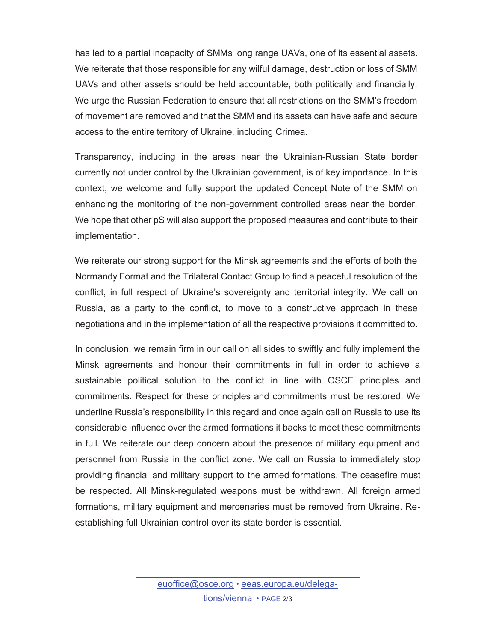has led to a partial incapacity of SMMs long range UAVs, one of its essential assets. We reiterate that those responsible for any wilful damage, destruction or loss of SMM UAVs and other assets should be held accountable, both politically and financially. We urge the Russian Federation to ensure that all restrictions on the SMM's freedom of movement are removed and that the SMM and its assets can have safe and secure access to the entire territory of Ukraine, including Crimea.

Transparency, including in the areas near the Ukrainian-Russian State border currently not under control by the Ukrainian government, is of key importance. In this context, we welcome and fully support the updated Concept Note of the SMM on enhancing the monitoring of the non-government controlled areas near the border. We hope that other pS will also support the proposed measures and contribute to their implementation.

We reiterate our strong support for the Minsk agreements and the efforts of both the Normandy Format and the Trilateral Contact Group to find a peaceful resolution of the conflict, in full respect of Ukraine's sovereignty and territorial integrity. We call on Russia, as a party to the conflict, to move to a constructive approach in these negotiations and in the implementation of all the respective provisions it committed to.

In conclusion, we remain firm in our call on all sides to swiftly and fully implement the Minsk agreements and honour their commitments in full in order to achieve a sustainable political solution to the conflict in line with OSCE principles and commitments. Respect for these principles and commitments must be restored. We underline Russia's responsibility in this regard and once again call on Russia to use its considerable influence over the armed formations it backs to meet these commitments in full. We reiterate our deep concern about the presence of military equipment and personnel from Russia in the conflict zone. We call on Russia to immediately stop providing financial and military support to the armed formations. The ceasefire must be respected. All Minsk-regulated weapons must be withdrawn. All foreign armed formations, military equipment and mercenaries must be removed from Ukraine. Reestablishing full Ukrainian control over its state border is essential.